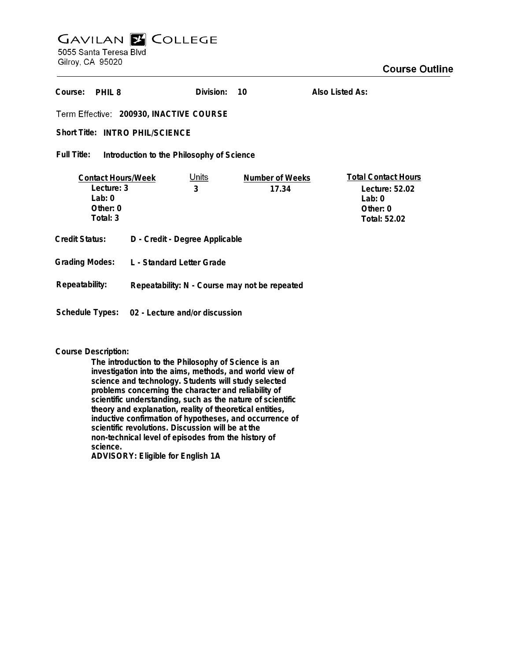## **GAVILAN Z COLLEGE** 5055 Santa Teresa Blvd

Gilroy, CA 95020

| Course:<br>PHIL <sub>8</sub>                                                  |                                               | Division:         | 10                       | Also Listed As:                                                                      |
|-------------------------------------------------------------------------------|-----------------------------------------------|-------------------|--------------------------|--------------------------------------------------------------------------------------|
| Term Effective: 200930, INACTIVE COURSE                                       |                                               |                   |                          |                                                                                      |
| Short Title: INTRO PHIL/SCIENCE                                               |                                               |                   |                          |                                                                                      |
| Full Title:<br>Introduction to the Philosophy of Science                      |                                               |                   |                          |                                                                                      |
| <b>Contact Hours/Week</b><br>Lecture: 3<br>Lab: $0$<br>Other: $0$<br>Total: 3 |                                               | <u>Units</u><br>3 | Number of Weeks<br>17.34 | <b>Total Contact Hours</b><br>Lecture: 52.02<br>Lab: $0$<br>Other: 0<br>Total: 52.02 |
| Credit Status:                                                                | D - Credit - Degree Applicable                |                   |                          |                                                                                      |
| <b>Grading Modes:</b>                                                         | L - Standard Letter Grade                     |                   |                          |                                                                                      |
| Repeatability:                                                                | Repeatability: N - Course may not be repeated |                   |                          |                                                                                      |
| Schedule Types:<br>02 - Lecture and/or discussion                             |                                               |                   |                          |                                                                                      |

## **Course Description:**

**The introduction to the Philosophy of Science is an investigation into the aims, methods, and world view of science and technology. Students will study selected problems concerning the character and reliability of scientific understanding, such as the nature of scientific theory and explanation, reality of theoretical entities, inductive confirmation of hypotheses, and occurrence of scientific revolutions. Discussion will be at the non-technical level of episodes from the history of science. ADVISORY: Eligible for English 1A**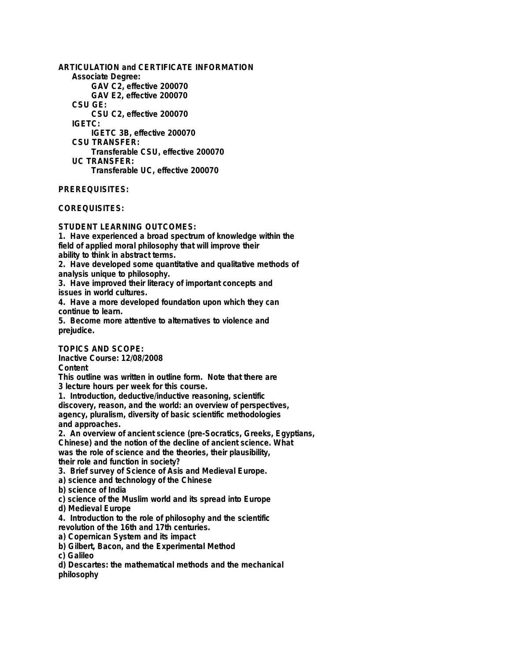**ARTICULATION and CERTIFICATE INFORMATION Associate Degree: GAV C2, effective 200070 GAV E2, effective 200070 CSU GE: CSU C2, effective 200070 IGETC: IGETC 3B, effective 200070 CSU TRANSFER: Transferable CSU, effective 200070 UC TRANSFER: Transferable UC, effective 200070**

**PREREQUISITES:**

**COREQUISITES:**

**STUDENT LEARNING OUTCOMES:**

**1. Have experienced a broad spectrum of knowledge within the field of applied moral philosophy that will improve their ability to think in abstract terms.**

**2. Have developed some quantitative and qualitative methods of analysis unique to philosophy.**

**3. Have improved their literacy of important concepts and issues in world cultures.**

**4. Have a more developed foundation upon which they can continue to learn.**

**5. Become more attentive to alternatives to violence and prejudice.**

**TOPICS AND SCOPE:**

**Inactive Course: 12/08/2008**

**Content**

**This outline was written in outline form. Note that there are 3 lecture hours per week for this course.**

**1. Introduction, deductive/inductive reasoning, scientific discovery, reason, and the world: an overview of perspectives, agency, pluralism, diversity of basic scientific methodologies and approaches.**

**2. An overview of ancient science (pre-Socratics, Greeks, Egyptians, Chinese) and the notion of the decline of ancient science. What was the role of science and the theories, their plausibility, their role and function in society?**

**3. Brief survey of Science of Asis and Medieval Europe.**

**a) science and technology of the Chinese**

**b) science of India**

**c) science of the Muslim world and its spread into Europe**

**d) Medieval Europe**

**4. Introduction to the role of philosophy and the scientific revolution of the 16th and 17th centuries.**

**a) Copernican System and its impact**

**b) Gilbert, Bacon, and the Experimental Method**

**c) Galileo**

**d) Descartes: the mathematical methods and the mechanical philosophy**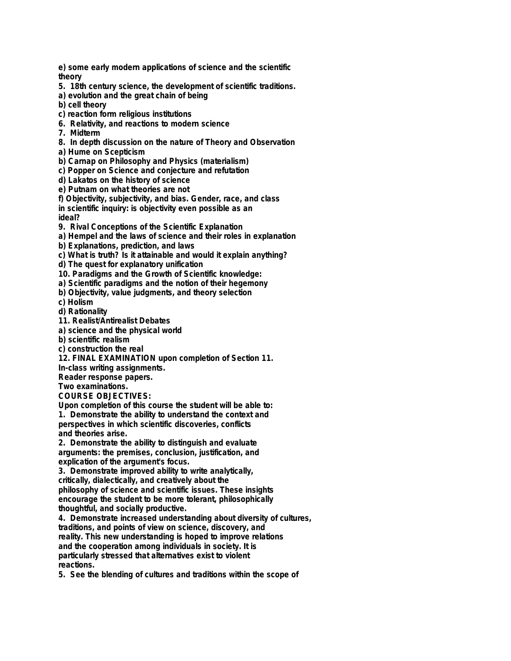**e) some early modern applications of science and the scientific theory**

**5. 18th century science, the development of scientific traditions.**

**a) evolution and the great chain of being**

**b) cell theory**

- **c) reaction form religious institutions**
- **6. Relativity, and reactions to modern science**
- **7. Midterm**
- **8. In depth discussion on the nature of Theory and Observation**
- **a) Hume on Scepticism**
- **b) Carnap on Philosophy and Physics (materialism)**
- **c) Popper on Science and conjecture and refutation**
- **d) Lakatos on the history of science**
- **e) Putnam on what theories are not**

**f) Objectivity, subjectivity, and bias. Gender, race, and class in scientific inquiry: is objectivity even possible as an ideal?**

**9. Rival Conceptions of the Scientific Explanation**

**a) Hempel and the laws of science and their roles in explanation**

**b) Explanations, prediction, and laws**

**c) What is truth? Is it attainable and would it explain anything?**

**d) The quest for explanatory unification**

**10. Paradigms and the Growth of Scientific knowledge:**

**a) Scientific paradigms and the notion of their hegemony**

**b) Objectivity, value judgments, and theory selection**

**c) Holism**

**d) Rationality**

**11. Realist/Antirealist Debates**

**a) science and the physical world**

**b) scientific realism**

**c) construction the real**

**12. FINAL EXAMINATION upon completion of Section 11.**

**In-class writing assignments.**

**Reader response papers.**

**Two examinations.**

**COURSE OBJECTIVES:**

**Upon completion of this course the student will be able to:**

**1. Demonstrate the ability to understand the context and perspectives in which scientific discoveries, conflicts and theories arise.**

**2. Demonstrate the ability to distinguish and evaluate arguments: the premises, conclusion, justification, and explication of the argument's focus.**

**3. Demonstrate improved ability to write analytically, critically, dialectically, and creatively about the philosophy of science and scientific issues. These insights encourage the student to be more tolerant, philosophically**

**thoughtful, and socially productive.**

**4. Demonstrate increased understanding about diversity of cultures, traditions, and points of view on science, discovery, and reality. This new understanding is hoped to improve relations and the cooperation among individuals in society. It is particularly stressed that alternatives exist to violent reactions.**

**5. See the blending of cultures and traditions within the scope of**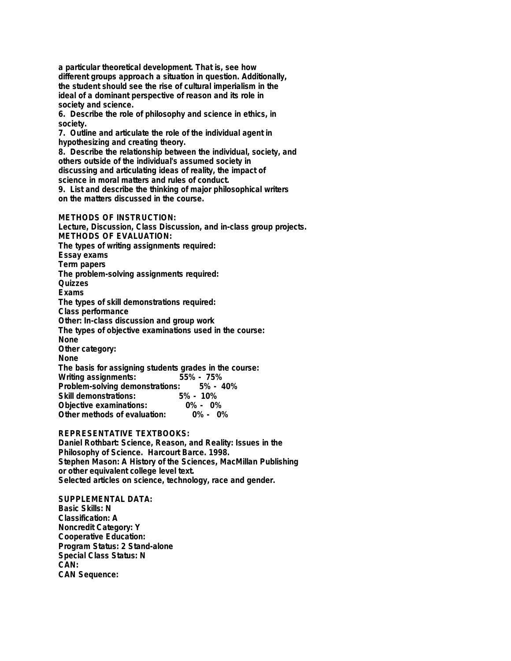**a particular theoretical development. That is, see how different groups approach a situation in question. Additionally, the student should see the rise of cultural imperialism in the ideal of a dominant perspective of reason and its role in society and science.**

**6. Describe the role of philosophy and science in ethics, in society.**

**7. Outline and articulate the role of the individual agent in hypothesizing and creating theory.**

**8. Describe the relationship between the individual, society, and others outside of the individual's assumed society in discussing and articulating ideas of reality, the impact of science in moral matters and rules of conduct. 9. List and describe the thinking of major philosophical writers**

**on the matters discussed in the course.**

**METHODS OF INSTRUCTION:**

**Lecture, Discussion, Class Discussion, and in-class group projects. METHODS OF EVALUATION: The types of writing assignments required: Essay exams Term papers The problem-solving assignments required: Quizzes Exams The types of skill demonstrations required: Class performance Other: In-class discussion and group work The types of objective examinations used in the course: None Other category: None The basis for assigning students grades in the course: Writing assignments: Problem-solving demonstrations: 5% - 40% Skill demonstrations: 5% - 10% Objective examinations: 0% - 0% Other methods of evaluation:** 

**REPRESENTATIVE TEXTBOOKS:**

**Daniel Rothbart: Science, Reason, and Reality: Issues in the Philosophy of Science. Harcourt Barce. 1998. Stephen Mason: A History of the Sciences, MacMillan Publishing or other equivalent college level text. Selected articles on science, technology, race and gender.**

**SUPPLEMENTAL DATA: Basic Skills: N Classification: A Noncredit Category: Y Cooperative Education: Program Status: 2 Stand-alone Special Class Status: N CAN: CAN Sequence:**